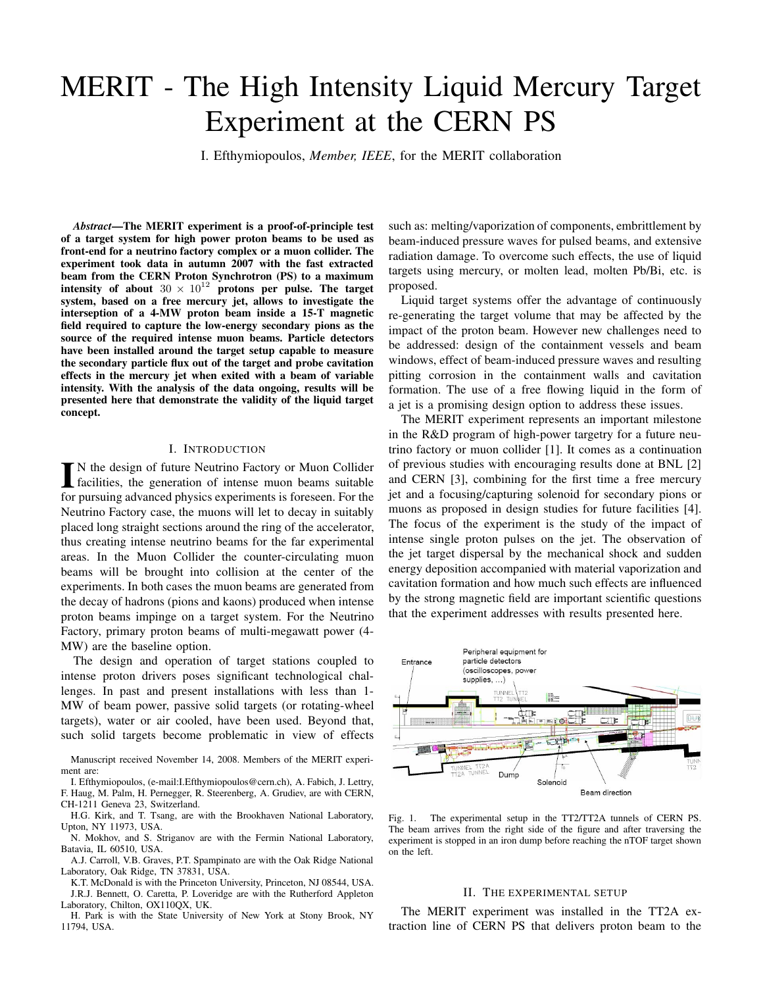# MERIT - The High Intensity Liquid Mercury Target Experiment at the CERN PS

I. Efthymiopoulos, *Member, IEEE*, for the MERIT collaboration

*Abstract***—The MERIT experiment is a proof-of-principle test of a target system for high power proton beams to be used as front-end for a neutrino factory complex or a muon collider. The experiment took data in autumn 2007 with the fast extracted beam from the CERN Proton Synchrotron (PS) to a maximum intensity of about**  $30 \times 10^{12}$  **protons per pulse. The target system, based on a free mercury jet, allows to investigate the interseption of a 4-MW proton beam inside a 15-T magnetic field required to capture the low-energy secondary pions as the source of the required intense muon beams. Particle detectors have been installed around the target setup capable to measure the secondary particle flux out of the target and probe cavitation effects in the mercury jet when exited with a beam of variable intensity. With the analysis of the data ongoing, results will be presented here that demonstrate the validity of the liquid target concept.**

#### I. INTRODUCTION

IN the design of future Neutrino Factory or Muon Collider<br>facilities, the generation of intense muon beams suitable facilities, the generation of intense muon beams suitable for pursuing advanced physics experiments is foreseen. For the Neutrino Factory case, the muons will let to decay in suitably placed long straight sections around the ring of the accelerator, thus creating intense neutrino beams for the far experimental areas. In the Muon Collider the counter-circulating muon beams will be brought into collision at the center of the experiments. In both cases the muon beams are generated from the decay of hadrons (pions and kaons) produced when intense proton beams impinge on a target system. For the Neutrino Factory, primary proton beams of multi-megawatt power (4- MW) are the baseline option.

The design and operation of target stations coupled to intense proton drivers poses significant technological challenges. In past and present installations with less than 1- MW of beam power, passive solid targets (or rotating-wheel targets), water or air cooled, have been used. Beyond that, such solid targets become problematic in view of effects

Manuscript received November 14, 2008. Members of the MERIT experiment are:

I. Efthymiopoulos, (e-mail:I.Efthymiopoulos@cern.ch), A. Fabich, J. Lettry, F. Haug, M. Palm, H. Pernegger, R. Steerenberg, A. Grudiev, are with CERN, CH-1211 Geneva 23, Switzerland.

H.G. Kirk, and T. Tsang, are with the Brookhaven National Laboratory, Upton, NY 11973, USA.

N. Mokhov, and S. Striganov are with the Fermin National Laboratory, Batavia, IL 60510, USA.

A.J. Carroll, V.B. Graves, P.T. Spampinato are with the Oak Ridge National Laboratory, Oak Ridge, TN 37831, USA.

K.T. McDonald is with the Princeton University, Princeton, NJ 08544, USA. J.R.J. Bennett, O. Caretta, P. Loveridge are with the Rutherford Appleton Laboratory, Chilton, OX110QX, UK.

H. Park is with the State University of New York at Stony Brook, NY 11794, USA.

such as: melting/vaporization of components, embrittlement by beam-induced pressure waves for pulsed beams, and extensive radiation damage. To overcome such effects, the use of liquid targets using mercury, or molten lead, molten Pb/Bi, etc. is proposed.

Liquid target systems offer the advantage of continuously re-generating the target volume that may be affected by the impact of the proton beam. However new challenges need to be addressed: design of the containment vessels and beam windows, effect of beam-induced pressure waves and resulting pitting corrosion in the containment walls and cavitation formation. The use of a free flowing liquid in the form of a jet is a promising design option to address these issues.

The MERIT experiment represents an important milestone in the R&D program of high-power targetry for a future neutrino factory or muon collider [1]. It comes as a continuation of previous studies with encouraging results done at BNL [2] and CERN [3], combining for the first time a free mercury jet and a focusing/capturing solenoid for secondary pions or muons as proposed in design studies for future facilities [4]. The focus of the experiment is the study of the impact of intense single proton pulses on the jet. The observation of the jet target dispersal by the mechanical shock and sudden energy deposition accompanied with material vaporization and cavitation formation and how much such effects are influenced by the strong magnetic field are important scientific questions that the experiment addresses with results presented here.



Fig. 1. The experimental setup in the TT2/TT2A tunnels of CERN PS. The beam arrives from the right side of the figure and after traversing the experiment is stopped in an iron dump before reaching the nTOF target shown on the left.

## II. THE EXPERIMENTAL SETUP

The MERIT experiment was installed in the TT2A extraction line of CERN PS that delivers proton beam to the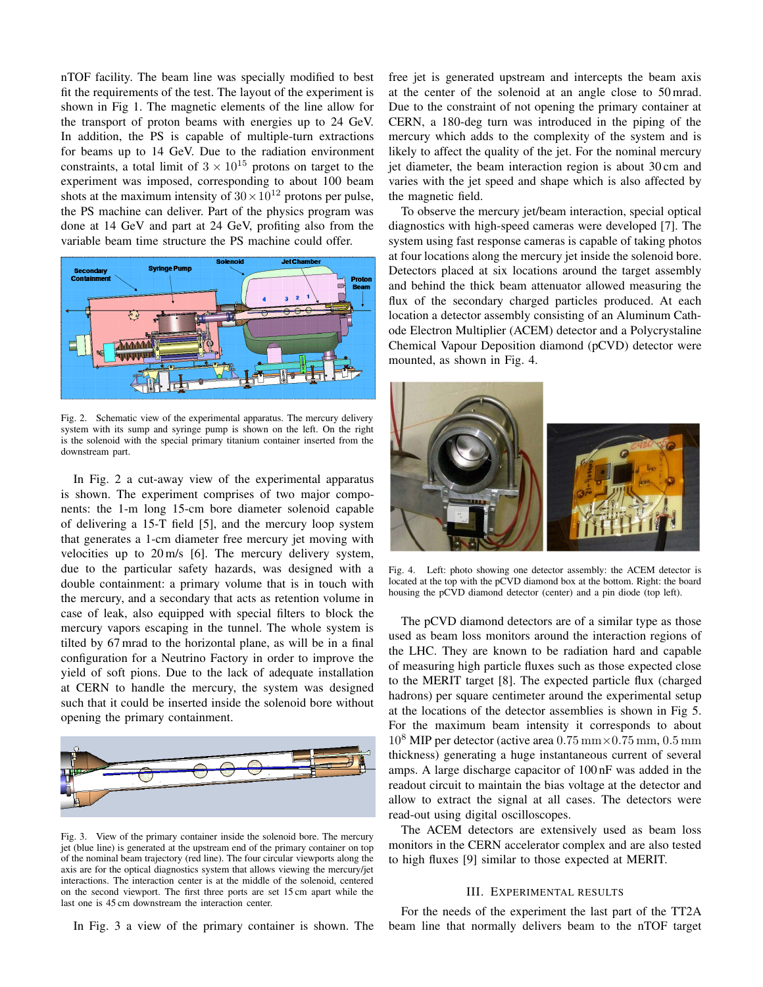nTOF facility. The beam line was specially modified to best fit the requirements of the test. The layout of the experiment is shown in Fig 1. The magnetic elements of the line allow for the transport of proton beams with energies up to 24 GeV. In addition, the PS is capable of multiple-turn extractions for beams up to 14 GeV. Due to the radiation environment constraints, a total limit of  $3 \times 10^{15}$  protons on target to the experiment was imposed, corresponding to about 100 beam shots at the maximum intensity of  $30 \times 10^{12}$  protons per pulse, the PS machine can deliver. Part of the physics program was done at 14 GeV and part at 24 GeV, profiting also from the variable beam time structure the PS machine could offer.



Fig. 2. Schematic view of the experimental apparatus. The mercury delivery system with its sump and syringe pump is shown on the left. On the right is the solenoid with the special primary titanium container inserted from the downstream part.

In Fig. 2 a cut-away view of the experimental apparatus is shown. The experiment comprises of two major components: the 1-m long 15-cm bore diameter solenoid capable of delivering a 15-T field [5], and the mercury loop system that generates a 1-cm diameter free mercury jet moving with velocities up to 20 m/s [6]. The mercury delivery system, due to the particular safety hazards, was designed with a double containment: a primary volume that is in touch with the mercury, and a secondary that acts as retention volume in case of leak, also equipped with special filters to block the mercury vapors escaping in the tunnel. The whole system is tilted by 67 mrad to the horizontal plane, as will be in a final configuration for a Neutrino Factory in order to improve the yield of soft pions. Due to the lack of adequate installation at CERN to handle the mercury, the system was designed such that it could be inserted inside the solenoid bore without opening the primary containment.



Fig. 3. View of the primary container inside the solenoid bore. The mercury jet (blue line) is generated at the upstream end of the primary container on top of the nominal beam trajectory (red line). The four circular viewports along the axis are for the optical diagnostics system that allows viewing the mercury/jet interactions. The interaction center is at the middle of the solenoid, centered on the second viewport. The first three ports are set 15 cm apart while the last one is 45 cm downstream the interaction center.

In Fig. 3 a view of the primary container is shown. The

free jet is generated upstream and intercepts the beam axis at the center of the solenoid at an angle close to 50 mrad. Due to the constraint of not opening the primary container at CERN, a 180-deg turn was introduced in the piping of the mercury which adds to the complexity of the system and is likely to affect the quality of the jet. For the nominal mercury jet diameter, the beam interaction region is about 30 cm and varies with the jet speed and shape which is also affected by the magnetic field.

To observe the mercury jet/beam interaction, special optical diagnostics with high-speed cameras were developed [7]. The system using fast response cameras is capable of taking photos at four locations along the mercury jet inside the solenoid bore. Detectors placed at six locations around the target assembly and behind the thick beam attenuator allowed measuring the flux of the secondary charged particles produced. At each location a detector assembly consisting of an Aluminum Cathode Electron Multiplier (ACEM) detector and a Polycrystaline Chemical Vapour Deposition diamond (pCVD) detector were mounted, as shown in Fig. 4.



Fig. 4. Left: photo showing one detector assembly: the ACEM detector is located at the top with the pCVD diamond box at the bottom. Right: the board housing the pCVD diamond detector (center) and a pin diode (top left).

The pCVD diamond detectors are of a similar type as those used as beam loss monitors around the interaction regions of the LHC. They are known to be radiation hard and capable of measuring high particle fluxes such as those expected close to the MERIT target [8]. The expected particle flux (charged hadrons) per square centimeter around the experimental setup at the locations of the detector assemblies is shown in Fig 5. For the maximum beam intensity it corresponds to about <sup>10</sup><sup>8</sup> MIP per detector (active area <sup>0</sup>*.*75 mm*×*0*.*75 mm, <sup>0</sup>*.*5 mm thickness) generating a huge instantaneous current of several amps. A large discharge capacitor of 100 nF was added in the readout circuit to maintain the bias voltage at the detector and allow to extract the signal at all cases. The detectors were read-out using digital oscilloscopes.

The ACEM detectors are extensively used as beam loss monitors in the CERN accelerator complex and are also tested to high fluxes [9] similar to those expected at MERIT.

## III. EXPERIMENTAL RESULTS

For the needs of the experiment the last part of the TT2A beam line that normally delivers beam to the nTOF target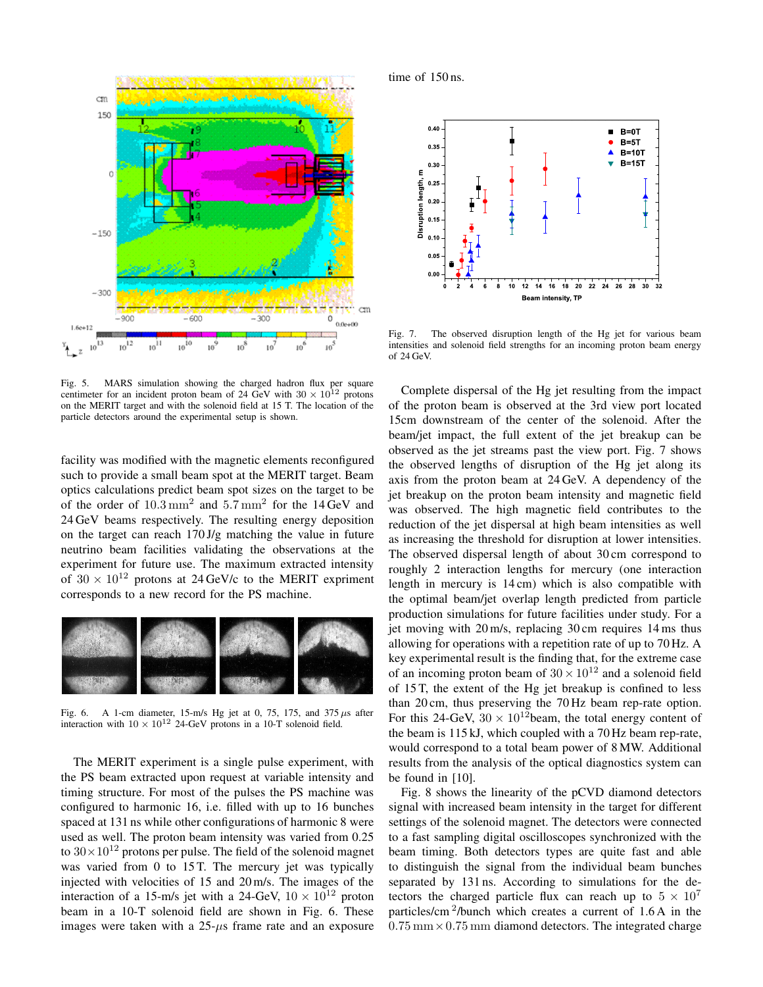

Fig. 5. MARS simulation showing the charged hadron flux per square centimeter for an incident proton beam of 24 GeV with  $30 \times 10^{12}$  protons on the MERIT target and with the solenoid field at 15 T. The location of the particle detectors around the experimental setup is shown.

facility was modified with the magnetic elements reconfigured such to provide a small beam spot at the MERIT target. Beam optics calculations predict beam spot sizes on the target to be of the order of 10*.*3 mm<sup>2</sup> and 5*.*7 mm<sup>2</sup> for the 14 GeV and 24 GeV beams respectively. The resulting energy deposition on the target can reach 170 J/g matching the value in future neutrino beam facilities validating the observations at the experiment for future use. The maximum extracted intensity of  $30 \times 10^{12}$  protons at 24 GeV/c to the MERIT expriment corresponds to a new record for the PS machine.



Fig. 6. A 1-cm diameter, 15-m/s Hg jet at 0, 75, 175, and 375 *µ*s after interaction with  $10 \times 10^{12}$  24-GeV protons in a 10-T solenoid field.

The MERIT experiment is a single pulse experiment, with the PS beam extracted upon request at variable intensity and timing structure. For most of the pulses the PS machine was configured to harmonic 16, i.e. filled with up to 16 bunches spaced at 131 ns while other configurations of harmonic 8 were used as well. The proton beam intensity was varied from 0.25 to  $30\times10^{12}$  protons per pulse. The field of the solenoid magnet was varied from 0 to 15 T. The mercury jet was typically injected with velocities of 15 and 20 m/s. The images of the interaction of a 15-m/s jet with a 24-GeV,  $10 \times 10^{12}$  proton beam in a 10-T solenoid field are shown in Fig. 6. These images were taken with a 25-*µ*s frame rate and an exposure time of 150 ns.



Fig. 7. The observed disruption length of the Hg jet for various beam intensities and solenoid field strengths for an incoming proton beam energy of 24 GeV.

Complete dispersal of the Hg jet resulting from the impact of the proton beam is observed at the 3rd view port located 15cm downstream of the center of the solenoid. After the beam/jet impact, the full extent of the jet breakup can be observed as the jet streams past the view port. Fig. 7 shows the observed lengths of disruption of the Hg jet along its axis from the proton beam at 24 GeV. A dependency of the jet breakup on the proton beam intensity and magnetic field was observed. The high magnetic field contributes to the reduction of the jet dispersal at high beam intensities as well as increasing the threshold for disruption at lower intensities. The observed dispersal length of about 30 cm correspond to roughly 2 interaction lengths for mercury (one interaction length in mercury is 14 cm) which is also compatible with the optimal beam/jet overlap length predicted from particle production simulations for future facilities under study. For a jet moving with 20 m/s, replacing 30 cm requires 14 ms thus allowing for operations with a repetition rate of up to 70 Hz. A key experimental result is the finding that, for the extreme case of an incoming proton beam of  $30 \times 10^{12}$  and a solenoid field of 15 T, the extent of the Hg jet breakup is confined to less than 20 cm, thus preserving the 70 Hz beam rep-rate option. For this 24-GeV,  $30 \times 10^{12}$ beam, the total energy content of the beam is 115 kJ, which coupled with a 70 Hz beam rep-rate, would correspond to a total beam power of 8 MW. Additional results from the analysis of the optical diagnostics system can be found in [10].

Fig. 8 shows the linearity of the pCVD diamond detectors signal with increased beam intensity in the target for different settings of the solenoid magnet. The detectors were connected to a fast sampling digital oscilloscopes synchronized with the beam timing. Both detectors types are quite fast and able to distinguish the signal from the individual beam bunches separated by 131 ns. According to simulations for the detectors the charged particle flux can reach up to  $5 \times 10^7$ particles/cm<sup>2</sup>/bunch which creates a current of  $1.6$ A in the 0*.*75 mm*×*0*.*75 mm diamond detectors. The integrated charge